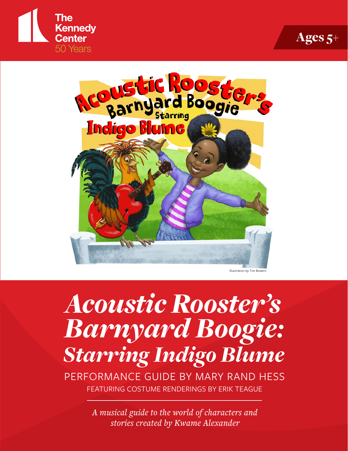





Istration by Tim Bow

# *Acoustic Rooster's Barnyard Boogie: Starring Indigo Blume*

PERFORMANCE GUIDE BY MARY RAND HESS FEATURING COSTUME RENDERINGS BY ERIK TEAGUE

> *A musical guide to the world of characters and stories created by Kwame Alexander*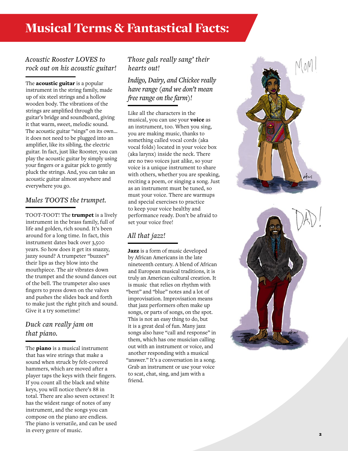# Musical Terms & Fantastical Facts:

#### *Acoustic Rooster LOVES to rock out on his acoustic guitar!*

The **acoustic guitar** is a popular instrument in the string family, made up of six steel strings and a hollow wooden body. The vibrations of the strings are amplified through the guitar's bridge and soundboard, giving it that warm, sweet, melodic sound. The acoustic guitar "sings" on its own… it does not need to be plugged into an amplifier, like its sibling, the electric guitar. In fact, just like Rooster, you can play the acoustic guitar by simply using your fingers or a guitar pick to gently pluck the strings. And, you can take an acoustic guitar almost anywhere and everywhere you go.

#### *Mules TOOTS the trumpet.*

TOOT-TOOT! The **trumpet** is a lively instrument in the brass family, full of life and golden, rich sound. It's been around for a long time. In fact, this instrument dates back over 3,500 years. So how does it get its snazzy, jazzy sound? A trumpeter "buzzes" their lips as they blow into the mouthpiece. The air vibrates down the trumpet and the sound dances out of the bell. The trumpeter also uses fingers to press down on the valves and pushes the slides back and forth to make just the right pitch and sound. Give it a try sometime!

# *Duck can really jam on that piano.*

The **piano** is a musical instrument that has wire strings that make a sound when struck by felt-covered hammers, which are moved after a player taps the keys with their fingers. If you count all the black and white keys, you will notice there's 88 in total. There are also seven octaves! It has the widest range of notes of any instrument, and the songs you can compose on the piano are endless. The piano is versatile, and can be used in every genre of music.

#### *Those gals really sang' their hearts out!*

*Indigo, Dairy, and Chickee really have range (and we don't mean free range on the farm)!*

Like all the characters in the musical, you can use your **voice** as an instrument, too. When you sing, you are making music, thanks to something called vocal cords (aka vocal folds) located in your voice box (aka larynx) inside the neck. There are no two voices just alike, so your voice is a unique instrument to share with others, whether you are speaking, reciting a poem, or singing a song. Just as an instrument must be tuned, so must your voice. There are warmups and special exercises to practice to keep your voice healthy and performance ready. Don't be afraid to set your voice free!

## *All that jazz!*

Jazz is a form of music developed by African Americans in the late nineteenth century. A blend of African and European musical traditions, it is truly an American cultural creation. It is music that relies on rhythm with "bent" and "blue" notes and a lot of improvisation. Improvisation means that jazz performers often make up songs, or parts of songs, on the spot. This is not an easy thing to do, but it is a great deal of fun. Many jazz songs also have "call and response" in them, which has one musician calling out with an instrument or voice, and another responding with a musical "answer." It's a conversation in a song. Grab an instrument or use your voice to scat, chat, sing, and jam with a friend.

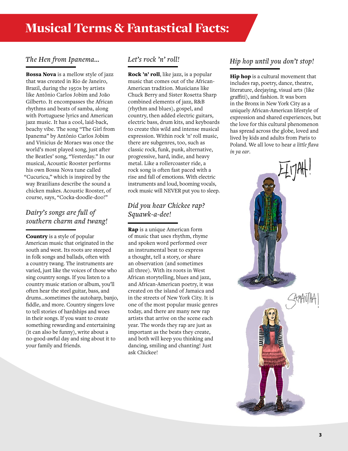#### *The Hen from Ipanema…*

Bossa Nova is a mellow style of jazz that was created in Rio de Janeiro, Brazil, during the 1950s by artists like Antônio Carlos Jobim and João Gilberto. It encompasses the African rhythms and beats of samba, along with Portuguese lyrics and American jazz music. It has a cool, laid-back, beachy vibe. The song "The Girl from Ipanema" by Antônio Carlos Jobim and Vinicius de Moraes was once the world's most played song, just after the Beatles' song, "Yesterday." In our musical, Acoustic Rooster performs his own Bossa Nova tune called "Cucuricu," which is inspired by the way Brazilians describe the sound a chicken makes. Acoustic Rooster, of course, says, "Cocka-doodle-doo!"

#### *Dairy's songs are full of southern charm and twang!*

Country is a style of popular American music that originated in the south and west. Its roots are steeped in folk songs and ballads, often with a country twang. The instruments are varied, just like the voices of those who sing country songs. If you listen to a country music station or album, you'll often hear the steel guitar, bass, and drums…sometimes the autoharp, banjo, fiddle, and more. Country singers love to tell stories of hardships and woes in their songs. If you want to create something rewarding and entertaining (it can also be funny), write about a no-good-awful day and sing about it to your family and friends.

#### *Let's rock 'n' roll!*

Rock 'n' roll, like jazz, is a popular music that comes out of the African-American tradition. Musicians like Chuck Berry and Sister Rosetta Sharp combined elements of jazz, R&B (rhythm and blues), gospel, and country, then added electric guitars, electric bass, drum kits, and keyboards to create this wild and intense musical expression. Within rock 'n' roll music, there are subgenres, too, such as classic rock, funk, punk, alternative, progressive, hard, indie, and heavy metal. Like a rollercoaster ride, a rock song is often fast paced with a rise and fall of emotions. With electric instruments and loud, booming vocals, rock music will NEVER put you to sleep.

#### *Did you hear Chickee rap? Squawk-a-dee!*

Rap is a unique American form of music that uses rhythm, rhyme and spoken word performed over an instrumental beat to express a thought, tell a story, or share an observation (and sometimes all three). With its roots in West African storytelling, blues and jazz, and African-American poetry, it was created on the island of Jamaica and in the streets of New York City. It is one of the most popular music genres today, and there are many new rap artists that arrive on the scene each year. The words they rap are just as important as the beats they create, and both will keep you thinking and dancing, smiling and chanting! Just ask Chickee!

## *Hip hop until you don't stop!*

Hip hop is a cultural movement that includes rap, poetry, dance, theatre, literature, deejaying, visual arts (like graffiti), and fashion. It was born in the Bronx in New York City as a uniquely African-American lifestyle of expression and shared experiences, but the love for this cultural phenomenon has spread across the globe, loved and lived by kids and adults from Paris to Poland. We all love to hear *a little flava in ya ear*.



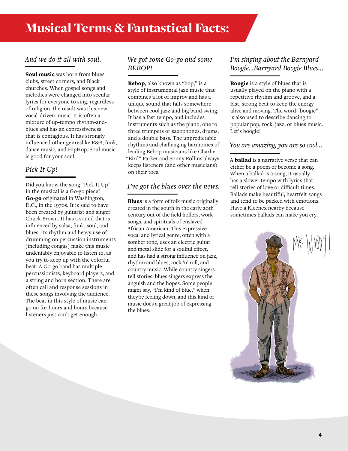#### *And we do it all with soul.*

Soul music was born from blues clubs, street corners, and Black churches. When gospel songs and melodies were changed into secular lyrics for everyone to sing, regardless of religion, the result was this new vocal-driven music. It is often a mixture of up-tempo rhythm-andblues and has an expressiveness that is contagious. It has strongly influenced other genreslike R&B, funk, dance music, and HipHop. Soul music is good for your soul.

#### *Pick It Up!*

Did you know the song "Pick It Up" in the musical is a Go-go piece? Go-go originated in Washington, D.C., in the 1970s. It is said to have been created by guitarist and singer Chuck Brown. It has a sound that is influenced by salsa, funk, soul, and blues. Its rhythm and heavy use of drumming on percussion instruments (including congas) make this music undeniably enjoyable to listen to, as you try to keep up with the colorful beat. A Go-go band has multiple percussionists, keyboard players, and a string and horn section. There are often call and response sessions in these songs involving the audience. The beat in this style of music can go on for hours and hours because listeners just can't get enough.

#### *We got some Go-go and some BEBOP!*

Bebop, also known as "bop," is a style of instrumental jazz music that combines a lot of improv and has a unique sound that falls somewhere between cool jazz and big band swing. It has a fast tempo, and includes instruments such as the piano, one to three trumpets or saxophones, drums, and a double bass. The unpredictable rhythms and challenging harmonies of leading Bebop musicians like Charlie "Bird" Parker and Sonny Rollins always keeps listeners (and other musicians) on their toes.

#### *I've got the blues over the news.*

Blues is a form of folk music originally created in the south in the early 20th century out of the field hollers, work songs, and spirituals of enslaved African-American. This expressive vocal and lyrical genre, often with a somber tone, uses an electric guitar and metal slide for a soulful effect, and has had a strong influence on jazz, rhythm and blues, rock 'n' roll, and country music. While country singers tell stories, blues singers express the anguish and the hopes. Some people might say, "I'm kind of blue," when they're feeling down, and this kind of music does a great job of expressing the blues.

#### *I'm singing about the Barnyard Boogie…Barnyard Boogie Blues…*

Boogie is a style of blues that is usually played on the piano with a repetitive rhythm and groove, and a fast, strong beat to keep the energy alive and moving. The word "boogie" is also used to describe dancing to popular pop, rock, jazz, or blues music. Let's boogie!

#### *You are amazing, you are so cool…*

A ballad is a narrative verse that can either be a poem or become a song. When a ballad is a song, it usually has a slower tempo with lyrics that tell stories of love or difficult times. Ballads make beautiful, heartfelt songs and tend to be packed with emotions. Have a Kleenex nearby because sometimes ballads can make you cry.

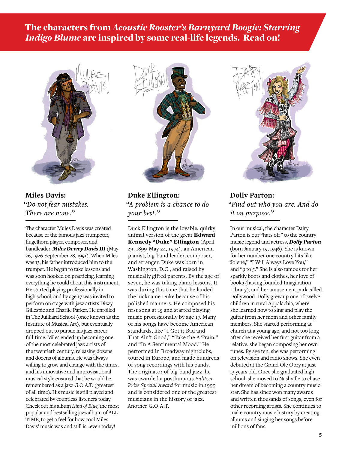The characters from *Acoustic Rooster's Barnyard Boogie: Starring Indigo Blume* are inspired by some real-life legends. Read on!



**Miles Davis:**  *"Do not fear mistakes. There are none."*

The character Mules Davis was created because of the famous jazz trumpeter, flugelhorn player, composer, and bandleader, *Miles Dewey Davis III* (May 26, 1926-September 28, 1991). When Miles was 13, his father introduced him to the trumpet. He began to take lessons and was soon hooked on practicing, learning everything he could about this instrument. He started playing professionally in high school, and by age 17 was invited to perform on stage with jazz artists Dizzy Gillespie and Charlie Parker. He enrolled in The Juilliard School (once known as the Institute of Musical Art), but eventually dropped out to pursue his jazz career full-time. Miles ended up becoming one of the most celebrated jazz artists of the twentieth century, releasing dozens and dozens of albums. He was always willing to grow and change with the times, and his innovative and improvisational musical style ensured that he would be remembered as a jazz G.O.A.T. (greatest of all time). His music is still played and celebrated by countless listeners today. Check out his album *Kind of Blue*, the most popular and bestselling jazz album of ALL TIME, to get a feel for how cool Miles Davis' music was and still is…even today!



**Duke Ellington:**  *"A problem is a chance to do your best."*

Duck Ellington is the lovable, quirky animal version of the great Edward Kennedy "Duke" Ellington (April 29, 1899-May 24, 1974), an American pianist, big-band leader, composer, and arranger. Duke was born in Washington, D.C., and raised by musically gifted parents. By the age of seven, he was taking piano lessons. It was during this time that he landed the nickname Duke because of his polished manners. He composed his first song at 15 and started playing music professionally by age 17. Many of his songs have become American standards, like "I Got it Bad and That Ain't Good," "Take the A Train," and "In A Sentimental Mood." He performed in Broadway nightclubs, toured in Europe, and made hundreds of song recordings with his bands. The originator of big-band jazz, he was awarded a posthumous *Pulitzer Prize Special Award* for music in 1999 and is considered one of the greatest musicians in the history of jazz. Another G.O.A.T.



**Dolly Parton:**  *"Find out who you are. And do it on purpose."*

In our musical, the character Dairy Parton is our "hats off" to the country music legend and actress, *Dolly Parton*  (born January 19, 1946). She is known for her number one country hits like "Jolene," "I Will Always Love You," and "9 to 5." She is also famous for her sparkly boots and clothes, her love of books (having founded Imagination Library), and her amusement park called Dollywood. Dolly grew up one of twelve children in rural Appalachia, where she learned how to sing and play the guitar from her mom and other family members. She started performing at church at a young age, and not too long after she received her first guitar from a relative, she began composing her own tunes. By age ten, she was performing on television and radio shows. She even debuted at the Grand Ole Opry at just 13 years old. Once she graduated high school, she moved to Nashville to chase her dream of becoming a country music star. She has since won many awards and written thousands of songs, even for other recording artists. She continues to make country music history by creating albums and singing her songs before millions of fans.